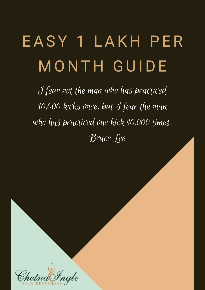I fear not the man who has practiced 10,000 kicks once, but I fear the man who has practiced one kick 10,000 times. --Bruce Lee



# EAS Y 1 LAK H P E R M O N T H GUIDE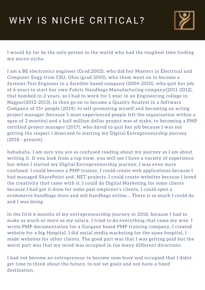### WHY IS NICHE CRITICAL?



I would by far be the only person in the world who had the toughest time finding my micro-niche.

I am a BE electronics engineer (Grad:2002), who did her Masters in Electrical and Computer Engg from CSU, Ohio (grad 2005), who them went on to become a Systems Test Engineer in a Satellite based company (2004-2010), who quit her job of 6 years to start her own Fabric Handbags Manufacturing company(2011-2012), that bombed in 2 years, so I had to work for 1 year in an Engineering college in Nagpur(2012-2013), to then go on to become a Quality Analyst in a Software Company of 15+ people (2014), to self-promoting myself and becoming an acting project manager (because 5 most experienced people left the organisation within a span of 2 months) and a half million dollar project was at stake, to becoming a PMP certified project manager (2017), who dared to quit her job because I was not getting the respect I deserved to starting my Digital Entrepreneurship journey (2018 - present).

hahahaha. I am sure you are as confused reading about my journey as I am about

writing it. If you look from a top view, you will see I have a variety of experience but when I started my Digital Entrepreneurship journey, I was even more confused. I could become a PMP trainer, I could create web applications because I had managed SharePoint and .NET projects, I could create websites because I loved the creativity that came with it, I could do Digital Marketing for some clients because I had got it done for some past employer's clients, I could open a ecommerce handbags store and sell handbags online... There is so much I could do and I was doing.

In the first 6 months of my entrepreneurship journey in 2018, because I had to make as much or more as my salary, I tried to do everything that came my way. I wrote PMP documentation for a Gurgaon based PMP training company, I created website for a big Hospital, I did social media marketing for the same hospital, I made websites for other clients. The good part was that I was getting paid but the worst part was that my mind was occupied in too many different directions.

I had not become an entrepreneur to become sooo busy and occupied that I didnt get time to think about the future, to not set goals and not have a fixed destination.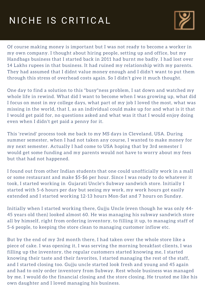### NICHE IS CRITICAL



Of course making money is important but I was not ready to become a worker in my own company. I thought about hiring people, setting up and office, but my Handbags business that I started back in 2011 had burnt me badly. I had lost over 14 Lakhs rupees in that business. It had ruined my relationship with my parents. They had assumed that I didnt value money enough and I didn't want to put them through this stress of overhead costs again. So I didn't give it much thought.

One day to find a solution to this "busy"ness problem, I sat down and watched my whole life in rewind. What did I want to become when I was growing up, what did I focus on most in my college days, what part of my job I loved the most, what was missing in the world, that I, as an individual could make up for and what is it that I would get paid for, no questions asked and what was it that I would enjoy doing even when I didn't get paid a penny for it.

This 'rewind' process took me back to my MS days in Cleveland, USA. During summer semester, when I had not taken any course, I wanted to make money for my next semester. Actually I had come to USA hoping that by 3rd semester I would get some funding and my parents would not have to worry about my fees

but that had not happened.

I found out from other Indian students that one could unofficially work in a mall or some restaurant and make \$5-\$6 per hour. Since I was ready to do whatever it took, I started working in Gujarati Uncle's Subway sandwich store. Initially I started with 5-6 hours per day but seeing my work, my work hours got easily extended and I started working 12-13 hours Mon-Sat and 7 hours on Sunday.

Initially when I started working there, Gujju Uncle (even though he was only 44- 45 years old then) looked almost 60. He was managing his subway sandwich store all by himself, right from ordering inventory, to filling it up, to managing staff of 5-6 people, to keeping the store clean to managing customer inflow etc.

But by the end of my 3rd month there, I had taken over the whole store like a piece of cake. I was opening it, I was serving the morning breakfast clients, I was filling up the inventory, the regular customers started knowing me, I started knowing their taste and their favorites, I started managing the rest of the staff, and I started closing too. Gujju uncle started look fresh and young and 45 again and had to only order inventory from Subway. Rest whole business was managed by me. I would do the financial closing and the store closing. He trusted me like his own daughter and I loved managing his business.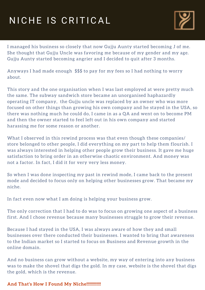### NICHE IS CRITICAL



I managed his business so closely that now Gujju Aunty started becoming J of me. She thought that Gujju Uncle was favoring me because of my gender and my age. Gujju Aunty started becoming angrier and I decided to quit after 3 months.

Anyways I had made enough \$\$\$ to pay for my fees so I had nothing to worry about.

This story and the one organisation when I was last employed at were pretty much the same. The subway sandwich store became an unorganised haphazardly operating IT company, the Gujju uncle was replaced by an owner who was more focused on other things than growing his own company and he stayed in the USA, so there was nothing much he could do, I came in as a QA and went on to become PM and then the owner started to feel left out in his own company and started harassing me for some reason or another.

What I observed in this rewind process was that even though these companies/ store belonged to other people, I did everything on my part to help them flourish. I was always interested in helping other people grow their business. It gave me huge satisfaction to bring order in an otherwise chaotic environment. And money was not a factor. In fact, I did it for very very less money.

So when I was done inspecting my past in rewind mode, I came back to the present mode and decided to focus only on helping other businesses grow. That became my niche.

In fact even now what I am doing is helping your business grow.

The only correction that I had to do was to focus on growing one aspect of a business first. And I chose revenue because many businesses struggle to grow their revenue.

Because I had stayed in the USA, I was always aware of how they and small businesses over there conducted their businesses. I wanted to bring that awareness to the Indian market so I started to focus on Business and Revenue growth in the online domain.

And no business can grow without a website, my way of entering into any business was to make the shovel that digs the gold. In my case, website is the shovel that digs the gold, which is the revenue.

#### **And That's How I Found My Niche!!!!!!!!!!!!!**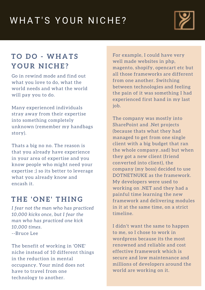#### **T H E ' O N E ' T H I N G**

*I fear not the man who has practiced 10,000 kicks once, but I fear the man who has practiced one kick 10,000 times.*

--Bruce Lee

The benefit of working in 'ONE' niche instead of 10 different things in the reduction in mental occupancy. Your mind does not have to travel from one technology to another.

### WHAT'S YOUR NICHE?



#### **T O D O - WH A T S Y O U R N I C H E ?**

Go in rewind mode and find out what you love to do, what the world needs and what the world will pay you to do.

Many experienced individuals stray away from their expertise into something completely unknown (remember my handbags story).

Thats a big no no. The reason is that you already have experience

in your area of expertise and you know people who might need your expertise ;) so its better to leverage what you already know and encash it.

For example, I could have very well made websites in php, magento, shopify, opencart etc but all those frameworks are different from one another. Switching between technologies and feeling the pain of it was something I had experienced first hand in my last job.

The company was mostly into SharePoint and .Net projects (because thats what they had managed to get from one single client with a big budget that ran the whole company..sad) but when they got a new client (friend converted into client), the company (my boss) decided to use DOTNETNUKE as the framework. My developers were used to working on .NET and they had a painful time learning the new framework and delivering modules in it at the same time, on a strict timeline.

I didn't want the same to happen to me, so I chose to work in wordpress because its the most renowned and reliable and cost effective framework which is secure and low maintenance and millions of developers around the world are working on it.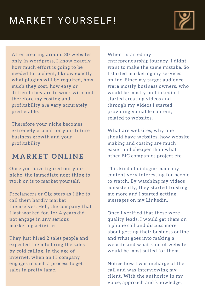### MARKET YOURSELF!



After creating around 30 websites only in wordpress, I know exactly how much effort is going to be needed for a client, I know exactly what plugins will be required, how much they cost, how easy or difficult they are to work with and therefore my costing and profitability are very accurately predictable.

Therefore your niche becomes extremely crucial for your future business growth and your profitability.

#### **MA R K E T O N L I N E**

Once you have figured out your niche, the immediate next thing to work on is to market yourself.

Freelancers or Gig-sters as I like to call them hardly market themselves. Hell, the company that I last worked for, for 4 years did not engage in any serious marketing activities.

They just hired 2 sales people and expected them to bring the sales by cold calling. In the age of internet, when an IT company engages in such a process to get sales in pretty lame.

When I started my entrepreneurship journey, I didnt want to make the same mistake. So I started marketing my services online. Since my target audience were mostly business owners, who would be mostly on Linkedin, I started creating videos and through my videos I started providing valuable content, related to websites.

What are websites, why one should have websites, how website making and costing are much easier and cheaper than what other BIG companies project etc.

This kind of dialogue made my content very interesting for people to watch. By watching my videos consistently, they started trusting me more and I started getting messages on my Linkedin.

Once I verified that these were quality leads, I would get them on a phone call and discuss more about getting their business online and what goes into making a website and what kind of website would be most suited for them.

Notice how I was incharge of the call and was interviewing my client. With the authority in my voice, approach and knowledge,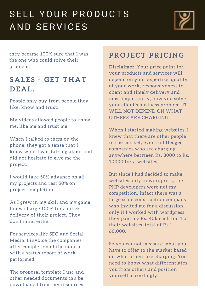## SELL YOUR PRODUCTS AND SERVICES



they became 100% sure that I was the one who could solve their problem.

#### **S A L E S - GE T T H A T D E A L .**

People only buy from people they like, know and trust.

When I talked to them on the phone, they got a sense that I knew what I was talking about and did not hesitate to give me the project.

My videos allowed people to know me, like me and trust me.

I would take 50% advance on all my projects and rest 50% on project completion.

As I grew in my skill and my game, I now charge 100% for a quick delivery of their project. They don't mind either.

For services like SEO and Social Media, I invoice the companies after completion of the month with a status report of work performed.

The proposal template I use and other needed documents can be downloaded from my resources.

#### **PR O J E C T PRI C I N G**

**Disclaimer**: Your price point for your products and services will depend on your expertise, quality of your work, responsiveness to client and timely delivery and most importantly, how you solve your client's business problem. IT WILL NOT DEPEND ON WHAT OTHERS ARE CHARGING.

When I started making websites, I knew that there are other people in the market, even full fledged companies who are charging anywhere between Rs. 3000 to Rs. 10000 for a websites.

But since I had decided to make websites only in wordpress, the PHP developers were not my competition. Infact there was a large scale construction company who invited me for a discussion only if I worked with wordpress. they paid me Rs. 40k each for 4 of their websites, total of Rs.1, 60,000.

So you cannot measure what you have to offer to the market based on what others are charging. You need to know what differentiates you from others and position yourself accordingly.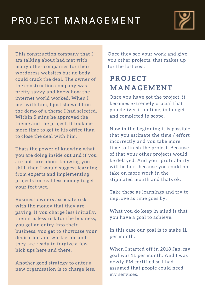#### **PR O J E C T MA N A GEME N T**

Once they see your work and give you other projects, that makes up for the lost cost.

### PROJECT MANAGEMENT



This construction company that I am talking about had met with many other companies for their wordpress websites but no body could crack the deal. The owner of the construction company was pretty savvy and knew how the internet world worked. When I met with him, I just showed him the demo of a theme I had selected. Within 5 mins he approved the theme and the project. It took me more time to get to his office than to close the deal with him.

Thats the power of knowing what you are doing inside out and if you are not sure about knowing your skill, then I would suggest learning from experts and implementing projects for real less money to get your feet wet.

Business owners associate risk with the money that they are paying. If you charge less initially, then it is less risk for the business, you get an entry into their business, you get to showcase your dedication and work ethic and they are ready to forgive a few hick ups here and there.

Another good strategy to enter a new organisation is to charge less. Once you have got the project, it becomes extremely crucial that you deliver it on time, in budget and completed in scope.

Now in the beginning it is possible that you estimate the time / effort incorrectly and you take more time to finish the project. Because of that your other projects would be delayed. And your profitability will be hurt because you could not take on more work in the stipulated month and thats ok.

Take these as learnings and try to improve as time goes by.

What you do keep in mind is that you have a goal to achieve.

In this case our goal is to make 1L per month.

When I started off in 2018 Jan, my goal was 1L per month. And I was newly PM certified so I had assumed that people could need my services.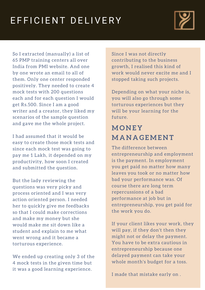#### **MO N E Y MA N A GEME N T**

Since I was not directly contributing to the business growth, I realised this kind of work would never excite me and I stopped taking such projects.

Depending on what your niche is, you will also go through some torturous experiences but they will be your learning for the future.

### EFFICIENT DELIVERY



So I extracted (manually) a list of 65 PMP training centers all over India from PMI website. And one by one wrote an email to all of them. Only one center responded positively. They needed to create 4 mock tests with 200 questions each and for each question I would get Rs.500. Since I am a good writer and a creator, they liked my scenarios of the sample question and gave me the whole project.

We ended up creating only 3 of the 4 mock tests in the given time but it was a good learning experience.

I had assumed that it would be easy to create those mock tests and since each mock test was going to pay me 1 Lakh, it depended on my productivity, how soon I created and submitted the question.

But the lady reviewing the questions was very picky and process oriented and I was very action oriented person. I needed her to quickly give me feedbacks so that I could make corrections and make my money but she would make me sit down like a student and explain to me what went wrong and it became a torturous experience.

The difference between entrepreneurship and employment is the payment. In employment you get paid no matter how many leaves you took or no matter how bad your performance was. Of course there are long term repercussions of a bad performance at job but in entrepreneurship, you get paid for the work you do.

If your client likes your work, they will pay, if they don't then they might not or delay the payment. You have to be extra cautious in entrepreneurship because one delayed payment can take your whole month's budget for a toss.

I made that mistake early on .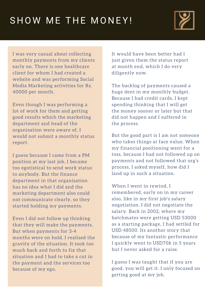It would have been better had I just given them the status report at month end, which I do very diligently now.

The backlog of payments caused a huge dent in my monthly budget. Because I had credit cards, I kept spending thinking that I will get the money sooner or later but that did not happen and I suffered in the process.

### SHOW ME THE MONEY!



I was very casual about collecting monthly payments from my clients early on. There is one healthcare client for whom I had created a website and was performing Social Media Marketing activities for Rs. 40000 per month.

Even though I was performing a lot of work for them and getting good results which the marketing department and head of the organisation were aware of, I would not submit a monthly status report.

I guess because I came from a PM position at my last job, I became too egotistical to send work status to anybody. But the finance department in that organisation has no idea what I did and the marketing department also could not communicate clearly, so they started holding my payments.

Even I did not follow up thinking that they will make the payments. But when payments for 3-4 months were on hold, I realised the gravity of the situation. It took too much back and forth to fix that situation and I had to take a cut in the payment and the services too because of my ego.

But the good part is I am not someone who takes things at face value. When my financial positioning went for a toss, because I had not followed up on payments and not followed that org's process, I asked myself, how did I land up in such a situation.

When I went in rewind, I remembered, early on in my career also, like in my first job's salary negotiation, I did not negotiate the salary. Back in 2002, where my batchmates were getting USD 53000 as a starting package, I had settled for USD 48500. Its another story that because of my fantastic performance I quickly went to USD70k in 5 years but I never asked for a raise.

I guess I was taught that if you are good, you will get it. I only focused on getting good at my job.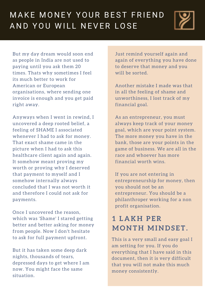Just remind yourself again and again of everything you have done to deserve that money and you will be sorted.

Another mistake I made was that in all the feeling of shame and unworthiness, I lost track of my financial goal.

As an entrepreneur, you must always keep track of your money goal, which are your point system. The more money you have in the bank, those are your points in the game of business. We are all in the race and whoever has more financial worth wins.

If you are not entering in entrepreneurship for money, then you should not be an entrepreneur. You should be a philanthroper working for a non profit organisation.

### MAKE MONEY YOUR BEST FRIEND AND YOU WILL NEVER LOSE



But my day dream would soon end as people in India are not used to paying until you ask them 20 times. Thats why sometimes I feel its much better to work for American or European organisations, where sending one invoice is enough and you get paid right away.

Anyways when I went in rewind, I uncovered a deep rooted belief, a feeling of SHAME I associated whenever I had to ask for money. That exact shame came in the picture when I had to ask this healthcare client again and again. It somehow meant proving my worth or proving why I deserved that payment to myself and I somehow internally always concluded that I was not worth it and therefore I could not ask for payments.

Once I uncovered the reason, which was 'Shame' I stared getting better and better asking for money from people. Now I don't hesitate to ask for full payment upfront.

But it has taken some deep dark nights, thousands of tears, depressed days to get where I am now. You might face the same situation.

#### **1 L A K H P ER MO N T H MI N D S E T .**

This is a very small and easy goal I am setting for you. If you do everything that I have said in this document, then it is very difficult that you will not make this much money consistently.